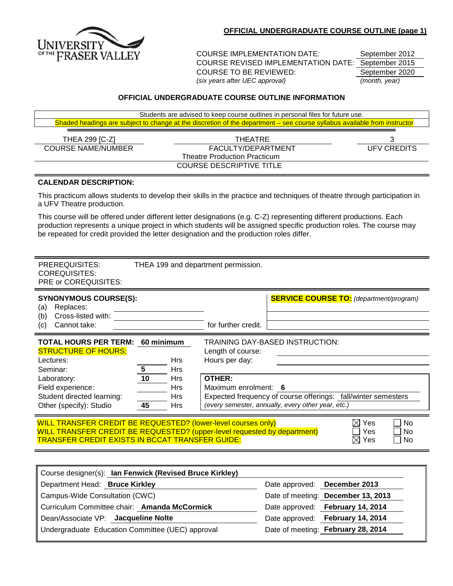

COURSE IMPLEMENTATION DATE: September 2012 COURSE REVISED IMPLEMENTATION DATE: September 2015 COURSE TO BE REVIEWED: September 2020 *(six years after UEC approval) (month, year)*

## **OFFICIAL UNDERGRADUATE COURSE OUTLINE INFORMATION**

|                              | Students are advised to keep course outlines in personal files for future use.                                            |                    |
|------------------------------|---------------------------------------------------------------------------------------------------------------------------|--------------------|
|                              | Shaded headings are subject to change at the discretion of the department – see course syllabus available from instructor |                    |
|                              |                                                                                                                           |                    |
| THEA 299 [C-Z]               | THEATRE                                                                                                                   |                    |
| <b>COURSE NAME/NUMBER</b>    | FACULTY/DEPARTMENT                                                                                                        | <b>UFV CREDITS</b> |
|                              | <b>Theatre Production Practicum</b>                                                                                       |                    |
|                              | <b>COURSE DESCRIPTIVE TITLE</b>                                                                                           |                    |
|                              |                                                                                                                           |                    |
| <b>CALENDAR DESCRIPTION:</b> |                                                                                                                           |                    |
| a UFV Theatre production.    | This practicum allows students to develop their skills in the practice and techniques of theatre through participation in |                    |

This course will be offered under different letter designations (e.g. C-Z) representing different productions. Each production represents a unique project in which students will be assigned specific production roles. The course may be repeated for credit provided the letter designation and the production roles differ.

| PREREQUISITES:<br><b>COREQUISITES:</b><br>PRE or COREQUISITES:                                                                                                                                             |                                          |                                                      | THEA 199 and department permission.                                          |                                                                                                                                                        |
|------------------------------------------------------------------------------------------------------------------------------------------------------------------------------------------------------------|------------------------------------------|------------------------------------------------------|------------------------------------------------------------------------------|--------------------------------------------------------------------------------------------------------------------------------------------------------|
| <b>SYNONYMOUS COURSE(S):</b><br>Replaces:<br>(a)                                                                                                                                                           |                                          |                                                      |                                                                              | <b>SERVICE COURSE TO:</b> (department/program)                                                                                                         |
| Cross-listed with:<br>(b)<br>Cannot take:<br>(c)                                                                                                                                                           |                                          |                                                      | for further credit.                                                          |                                                                                                                                                        |
| <b>TOTAL HOURS PER TERM:</b><br><b>STRUCTURE OF HOURS:</b><br>Lectures:<br>Seminar:<br>Laboratory:<br>Field experience:<br>Student directed learning:<br>Other (specify): Studio                           | 60 minimum<br>$5\phantom{1}$<br>10<br>45 | <b>Hrs</b><br><b>Hrs</b><br>Hrs<br>Hrs<br>Hrs<br>Hrs | Length of course:<br>Hours per day:<br><b>OTHER:</b><br>Maximum enrolment: 6 | TRAINING DAY-BASED INSTRUCTION:<br>Expected frequency of course offerings: fall/winter semesters<br>(every semester, annually, every other year, etc.) |
| <b>WILL TRANSFER CREDIT BE REQUESTED? (lower-level courses only)</b><br>WILL TRANSFER CREDIT BE REQUESTED? (upper-level requested by department)<br><b>TRANSFER CREDIT EXISTS IN BCCAT TRANSFER GUIDE:</b> |                                          |                                                      |                                                                              | $\boxtimes$ Yes<br><b>No</b><br>No.<br>Yes<br>No<br>Yes<br>$\boxtimes$                                                                                 |

| Course designer(s): Ian Fenwick (Revised Bruce Kirkley) |                                    |
|---------------------------------------------------------|------------------------------------|
| Department Head: Bruce Kirkley                          | Date approved: December 2013       |
| Campus-Wide Consultation (CWC)                          | Date of meeting: December 13, 2013 |
| Curriculum Committee chair: Amanda McCormick            | Date approved: February 14, 2014   |
| Dean/Associate VP: Jacqueline Nolte                     | Date approved: February 14, 2014   |
| Undergraduate Education Committee (UEC) approval        | Date of meeting: February 28, 2014 |